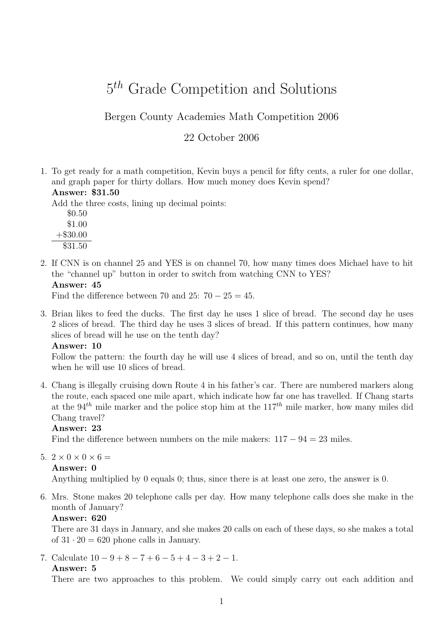# 5<sup>th</sup> Grade Competition and Solutions

# Bergen County Academies Math Competition 2006

# 22 October 2006

1. To get ready for a math competition, Kevin buys a pencil for fifty cents, a ruler for one dollar, and graph paper for thirty dollars. How much money does Kevin spend?

# Answer: \$31.50

Add the three costs, lining up decimal points:

\$0.50 \$1.00 +\$30.00 \$31.50

2. If CNN is on channel 25 and YES is on channel 70, how many times does Michael have to hit the "channel up" button in order to switch from watching CNN to YES?

Answer: 45

Find the difference between 70 and 25:  $70 - 25 = 45$ .

3. Brian likes to feed the ducks. The first day he uses 1 slice of bread. The second day he uses 2 slices of bread. The third day he uses 3 slices of bread. If this pattern continues, how many slices of bread will he use on the tenth day?

#### Answer: 10

Follow the pattern: the fourth day he will use 4 slices of bread, and so on, until the tenth day when he will use 10 slices of bread.

4. Chang is illegally cruising down Route 4 in his father's car. There are numbered markers along the route, each spaced one mile apart, which indicate how far one has travelled. If Chang starts at the 94<sup>th</sup> mile marker and the police stop him at the  $117<sup>th</sup>$  mile marker, how many miles did Chang travel?

# Answer: 23

Find the difference between numbers on the mile makers:  $117 - 94 = 23$  miles.

5.  $2 \times 0 \times 0 \times 6 =$ 

```
Answer: 0
```
Anything multiplied by 0 equals 0; thus, since there is at least one zero, the answer is 0.

6. Mrs. Stone makes 20 telephone calls per day. How many telephone calls does she make in the month of January?

#### Answer: 620

There are 31 days in January, and she makes 20 calls on each of these days, so she makes a total of  $31 \cdot 20 = 620$  phone calls in January.

7. Calculate  $10 - 9 + 8 - 7 + 6 - 5 + 4 - 3 + 2 - 1$ . Answer: 5

There are two approaches to this problem. We could simply carry out each addition and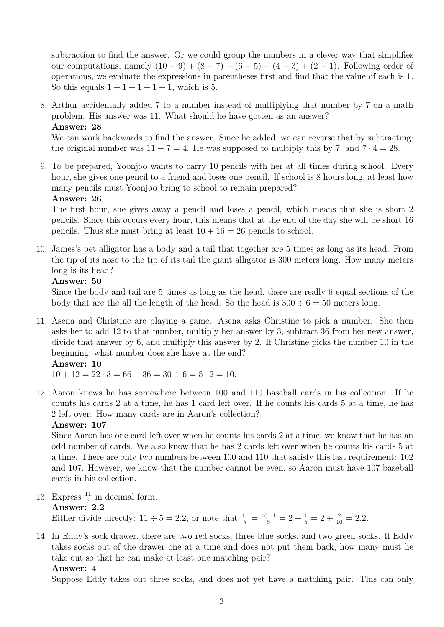subtraction to find the answer. Or we could group the numbers in a clever way that simplifies our computations, namely  $(10 - 9) + (8 - 7) + (6 - 5) + (4 - 3) + (2 - 1)$ . Following order of operations, we evaluate the expressions in parentheses first and find that the value of each is 1. So this equals  $1+1+1+1+1$ , which is 5.

8. Arthur accidentally added 7 to a number instead of multiplying that number by 7 on a math problem. His answer was 11. What should he have gotten as an answer? Answer: 28

We can work backwards to find the answer. Since he added, we can reverse that by subtracting: the original number was  $11 - 7 = 4$ . He was supposed to multiply this by 7, and  $7 \cdot 4 = 28$ .

9. To be prepared, Yoonjoo wants to carry 10 pencils with her at all times during school. Every hour, she gives one pencil to a friend and loses one pencil. If school is 8 hours long, at least how many pencils must Yoonjoo bring to school to remain prepared?

#### Answer: 26

The first hour, she gives away a pencil and loses a pencil, which means that she is short 2 pencils. Since this occurs every hour, this means that at the end of the day she will be short 16 pencils. Thus she must bring at least  $10 + 16 = 26$  pencils to school.

10. James's pet alligator has a body and a tail that together are 5 times as long as its head. From the tip of its nose to the tip of its tail the giant alligator is 300 meters long. How many meters long is its head?

#### Answer: 50

Since the body and tail are 5 times as long as the head, there are really 6 equal sections of the body that are the all the length of the head. So the head is  $300 \div 6 = 50$  meters long.

11. Asena and Christine are playing a game. Asena asks Christine to pick a number. She then asks her to add 12 to that number, multiply her answer by 3, subtract 36 from her new answer, divide that answer by 6, and multiply this answer by 2. If Christine picks the number 10 in the beginning, what number does she have at the end?

# Answer: 10

 $10 + 12 = 22 \cdot 3 = 66 - 36 = 30 \div 6 = 5 \cdot 2 = 10.$ 

12. Aaron knows he has somewhere between 100 and 110 baseball cards in his collection. If he counts his cards 2 at a time, he has 1 card left over. If he counts his cards 5 at a time, he has 2 left over. How many cards are in Aaron's collection?

# Answer: 107

Since Aaron has one card left over when he counts his cards 2 at a time, we know that he has an odd number of cards. We also know that he has 2 cards left over when he counts his cards 5 at a time. There are only two numbers between 100 and 110 that satisfy this last requirement: 102 and 107. However, we know that the number cannot be even, so Aaron must have 107 baseball cards in his collection.

13. Express  $\frac{11}{5}$  in decimal form.

Answer: 2.2

Either divide directly:  $11 \div 5 = 2.2$ , or note that  $\frac{11}{5} = \frac{10+1}{5} = 2 + \frac{1}{5} = 2 + \frac{2}{10} = 2.2$ .

14. In Eddy's sock drawer, there are two red socks, three blue socks, and two green socks. If Eddy takes socks out of the drawer one at a time and does not put them back, how many must he take out so that he can make at least one matching pair?

# Answer: 4

Suppose Eddy takes out three socks, and does not yet have a matching pair. This can only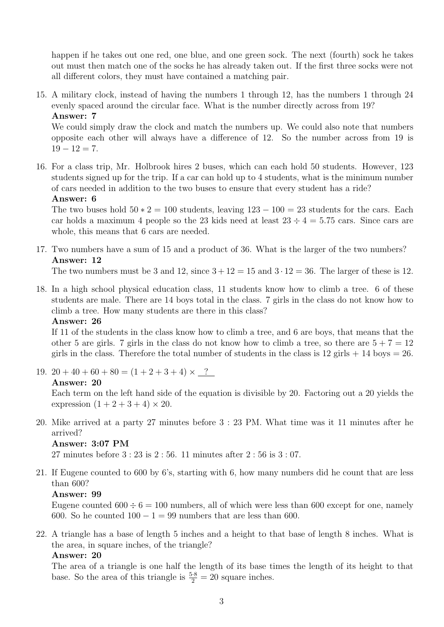happen if he takes out one red, one blue, and one green sock. The next (fourth) sock he takes out must then match one of the socks he has already taken out. If the first three socks were not all different colors, they must have contained a matching pair.

15. A military clock, instead of having the numbers 1 through 12, has the numbers 1 through 24 evenly spaced around the circular face. What is the number directly across from 19? Answer: 7

We could simply draw the clock and match the numbers up. We could also note that numbers opposite each other will always have a difference of 12. So the number across from 19 is  $19 - 12 = 7$ .

16. For a class trip, Mr. Holbrook hires 2 buses, which can each hold 50 students. However, 123 students signed up for the trip. If a car can hold up to 4 students, what is the minimum number of cars needed in addition to the two buses to ensure that every student has a ride?

#### Answer: 6

The two buses hold  $50 \times 2 = 100$  students, leaving  $123 - 100 = 23$  students for the cars. Each car holds a maximum 4 people so the 23 kids need at least  $23 \div 4 = 5.75$  cars. Since cars are whole, this means that 6 cars are needed.

17. Two numbers have a sum of 15 and a product of 36. What is the larger of the two numbers? Answer: 12

The two numbers must be 3 and 12, since  $3 + 12 = 15$  and  $3 \cdot 12 = 36$ . The larger of these is 12.

18. In a high school physical education class, 11 students know how to climb a tree. 6 of these students are male. There are 14 boys total in the class. 7 girls in the class do not know how to climb a tree. How many students are there in this class?

# Answer: 26

If 11 of the students in the class know how to climb a tree, and 6 are boys, that means that the other 5 are girls. 7 girls in the class do not know how to climb a tree, so there are  $5 + 7 = 12$ girls in the class. Therefore the total number of students in the class is  $12$  girls  $+ 14$  boys  $= 26$ .

19.  $20 + 40 + 60 + 80 = (1 + 2 + 3 + 4) \times 2$ 

#### Answer: 20

Each term on the left hand side of the equation is divisible by 20. Factoring out a 20 yields the expression  $(1 + 2 + 3 + 4) \times 20$ .

20. Mike arrived at a party 27 minutes before 3 : 23 PM. What time was it 11 minutes after he arrived?

# Answer: 3:07 PM

27 minutes before 3 : 23 is 2 : 56. 11 minutes after 2 : 56 is 3 : 07.

21. If Eugene counted to 600 by 6's, starting with 6, how many numbers did he count that are less than 600?

# Answer: 99

Eugene counted  $600 \div 6 = 100$  numbers, all of which were less than 600 except for one, namely 600. So he counted  $100 - 1 = 99$  numbers that are less than 600.

22. A triangle has a base of length 5 inches and a height to that base of length 8 inches. What is the area, in square inches, of the triangle?

#### Answer: 20

The area of a triangle is one half the length of its base times the length of its height to that base. So the area of this triangle is  $\frac{5\cdot 8}{2} = 20$  square inches.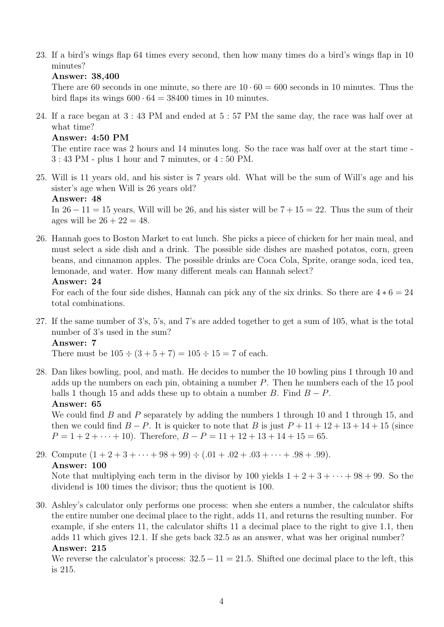23. If a bird's wings flap 64 times every second, then how many times do a bird's wings flap in 10 minutes?

# Answer: 38,400

There are 60 seconds in one minute, so there are  $10 \cdot 60 = 600$  seconds in 10 minutes. Thus the bird flaps its wings  $600 \cdot 64 = 38400$  times in 10 minutes.

24. If a race began at 3 : 43 PM and ended at 5 : 57 PM the same day, the race was half over at what time?

#### Answer: 4:50 PM

The entire race was 2 hours and 14 minutes long. So the race was half over at the start time - 3 : 43 PM - plus 1 hour and 7 minutes, or 4 : 50 PM.

25. Will is 11 years old, and his sister is 7 years old. What will be the sum of Will's age and his sister's age when Will is 26 years old?

```
Answer: 48
```
In  $26 - 11 = 15$  years, Will will be 26, and his sister will be  $7 + 15 = 22$ . Thus the sum of their ages will be  $26 + 22 = 48$ .

26. Hannah goes to Boston Market to eat lunch. She picks a piece of chicken for her main meal, and must select a side dish and a drink. The possible side dishes are mashed potatos, corn, green beans, and cinnamon apples. The possible drinks are Coca Cola, Sprite, orange soda, iced tea, lemonade, and water. How many different meals can Hannah select?

#### Answer: 24

For each of the four side dishes, Hannah can pick any of the six drinks. So there are  $4 * 6 = 24$ total combinations.

27. If the same number of 3's, 5's, and 7's are added together to get a sum of 105, what is the total number of 3's used in the sum?

#### Answer: 7

There must be  $105 \div (3 + 5 + 7) = 105 \div 15 = 7$  of each.

28. Dan likes bowling, pool, and math. He decides to number the 10 bowling pins 1 through 10 and adds up the numbers on each pin, obtaining a number P. Then he numbers each of the 15 pool balls 1 though 15 and adds these up to obtain a number B. Find  $B - P$ . Answer: 65

We could find  $B$  and  $P$  separately by adding the numbers 1 through 10 and 1 through 15, and then we could find  $B - P$ . It is quicker to note that B is just  $P + 11 + 12 + 13 + 14 + 15$  (since  $P = 1 + 2 + \cdots + 10$ . Therefore,  $B - P = 11 + 12 + 13 + 14 + 15 = 65$ .

29. Compute  $(1 + 2 + 3 + \cdots + 98 + 99) \div (0.01 + 0.02 + 0.03 + \cdots + 0.98 + 0.99)$ . Answer: 100

Note that multiplying each term in the divisor by 100 yields  $1+2+3+\cdots+98+99$ . So the dividend is 100 times the divisor; thus the quotient is 100.

30. Ashley's calculator only performs one process: when she enters a number, the calculator shifts the entire number one decimal place to the right, adds 11, and returns the resulting number. For example, if she enters 11, the calculator shifts 11 a decimal place to the right to give 1.1, then adds 11 which gives 12.1. If she gets back 32.5 as an answer, what was her original number? Answer: 215

We reverse the calculator's process:  $32.5 - 11 = 21.5$ . Shifted one decimal place to the left, this is 215.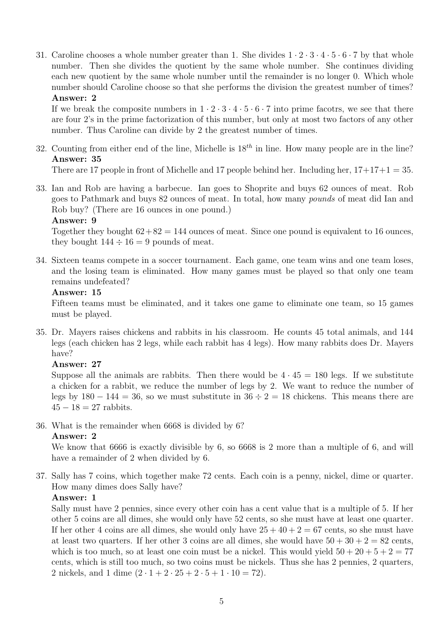31. Caroline chooses a whole number greater than 1. She divides  $1 \cdot 2 \cdot 3 \cdot 4 \cdot 5 \cdot 6 \cdot 7$  by that whole number. Then she divides the quotient by the same whole number. She continues dividing each new quotient by the same whole number until the remainder is no longer 0. Which whole number should Caroline choose so that she performs the division the greatest number of times? Answer: 2

If we break the composite numbers in  $1 \cdot 2 \cdot 3 \cdot 4 \cdot 5 \cdot 6 \cdot 7$  into prime facotrs, we see that there are four 2's in the prime factorization of this number, but only at most two factors of any other number. Thus Caroline can divide by 2 the greatest number of times.

32. Counting from either end of the line, Michelle is  $18^{th}$  in line. How many people are in the line? Answer: 35

There are 17 people in front of Michelle and 17 people behind her. Including her,  $17+17+1=35$ .

33. Ian and Rob are having a barbecue. Ian goes to Shoprite and buys 62 ounces of meat. Rob goes to Pathmark and buys 82 ounces of meat. In total, how many pounds of meat did Ian and Rob buy? (There are 16 ounces in one pound.)

#### Answer: 9

Together they bought  $62+82 = 144$  ounces of meat. Since one pound is equivalent to 16 ounces, they bought  $144 \div 16 = 9$  pounds of meat.

34. Sixteen teams compete in a soccer tournament. Each game, one team wins and one team loses, and the losing team is eliminated. How many games must be played so that only one team remains undefeated?

#### Answer: 15

Fifteen teams must be eliminated, and it takes one game to eliminate one team, so 15 games must be played.

35. Dr. Mayers raises chickens and rabbits in his classroom. He counts 45 total animals, and 144 legs (each chicken has 2 legs, while each rabbit has 4 legs). How many rabbits does Dr. Mayers have?

# Answer: 27

Suppose all the animals are rabbits. Then there would be  $4 \cdot 45 = 180$  legs. If we substitute a chicken for a rabbit, we reduce the number of legs by 2. We want to reduce the number of legs by  $180 - 144 = 36$ , so we must substitute in  $36 \div 2 = 18$  chickens. This means there are  $45 - 18 = 27$  rabbits.

36. What is the remainder when 6668 is divided by 6?

# Answer: 2

We know that 6666 is exactly divisible by 6, so 6668 is 2 more than a multiple of 6, and will have a remainder of 2 when divided by 6.

37. Sally has 7 coins, which together make 72 cents. Each coin is a penny, nickel, dime or quarter. How many dimes does Sally have?

# Answer: 1

Sally must have 2 pennies, since every other coin has a cent value that is a multiple of 5. If her other 5 coins are all dimes, she would only have 52 cents, so she must have at least one quarter. If her other 4 coins are all dimes, she would only have  $25 + 40 + 2 = 67$  cents, so she must have at least two quarters. If her other 3 coins are all dimes, she would have  $50 + 30 + 2 = 82$  cents, which is too much, so at least one coin must be a nickel. This would yield  $50 + 20 + 5 + 2 = 77$ cents, which is still too much, so two coins must be nickels. Thus she has 2 pennies, 2 quarters, 2 nickels, and 1 dime  $(2 \cdot 1 + 2 \cdot 25 + 2 \cdot 5 + 1 \cdot 10 = 72)$ .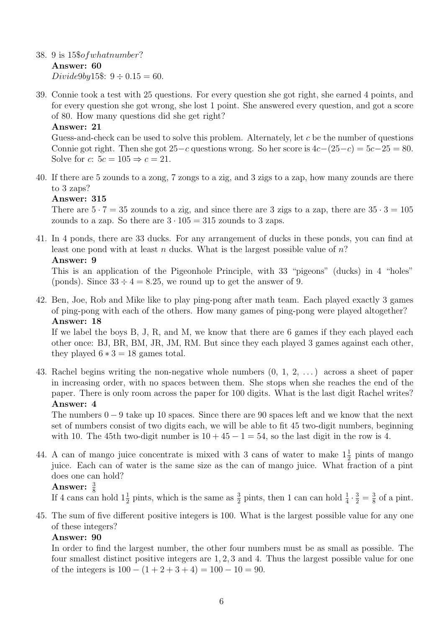- 38. 9 is 15\$ofwhatnumber? Answer: 60 Divide9by15\$:  $9 \div 0.15 = 60$ .
- 39. Connie took a test with 25 questions. For every question she got right, she earned 4 points, and for every question she got wrong, she lost 1 point. She answered every question, and got a score of 80. How many questions did she get right?

# Answer: 21

Guess-and-check can be used to solve this problem. Alternately, let c be the number of questions Connie got right. Then she got  $25-c$  questions wrong. So her score is  $4c-(25-c) = 5c-25 = 80$ . Solve for c:  $5c = 105 \Rightarrow c = 21$ .

40. If there are 5 zounds to a zong, 7 zongs to a zig, and 3 zigs to a zap, how many zounds are there to 3 zaps?

# Answer: 315

There are  $5 \cdot 7 = 35$  zounds to a zig, and since there are 3 zigs to a zap, there are  $35 \cdot 3 = 105$ zounds to a zap. So there are  $3 \cdot 105 = 315$  zounds to 3 zaps.

41. In 4 ponds, there are 33 ducks. For any arrangement of ducks in these ponds, you can find at least one pond with at least n ducks. What is the largest possible value of  $n$ ? Answer: 9

This is an application of the Pigeonhole Principle, with 33 "pigeons" (ducks) in 4 "holes" (ponds). Since  $33 \div 4 = 8.25$ , we round up to get the answer of 9.

42. Ben, Joe, Rob and Mike like to play ping-pong after math team. Each played exactly 3 games of ping-pong with each of the others. How many games of ping-pong were played altogether? Answer: 18

If we label the boys B, J, R, and M, we know that there are 6 games if they each played each other once: BJ, BR, BM, JR, JM, RM. But since they each played 3 games against each other, they played  $6 * 3 = 18$  games total.

43. Rachel begins writing the non-negative whole numbers (0, 1, 2, . . . ) across a sheet of paper in increasing order, with no spaces between them. She stops when she reaches the end of the paper. There is only room across the paper for 100 digits. What is the last digit Rachel writes? Answer: 4

The numbers  $0 - 9$  take up 10 spaces. Since there are 90 spaces left and we know that the next set of numbers consist of two digits each, we will be able to fit 45 two-digit numbers, beginning with 10. The 45th two-digit number is  $10 + 45 - 1 = 54$ , so the last digit in the row is 4.

44. A can of mango juice concentrate is mixed with 3 cans of water to make  $1\frac{1}{2}$  pints of mango juice. Each can of water is the same size as the can of mango juice. What fraction of a pint does one can hold?

# Answer:  $\frac{3}{8}$

If 4 cans can hold  $1\frac{1}{2}$  pints, which is the same as  $\frac{3}{2}$  pints, then 1 can can hold  $\frac{1}{4} \cdot \frac{3}{2} = \frac{3}{8}$  $\frac{3}{8}$  of a pint.

45. The sum of five different positive integers is 100. What is the largest possible value for any one of these integers?

# Answer: 90

In order to find the largest number, the other four numbers must be as small as possible. The four smallest distinct positive integers are 1, 2, 3 and 4. Thus the largest possible value for one of the integers is  $100 - (1 + 2 + 3 + 4) = 100 - 10 = 90$ .